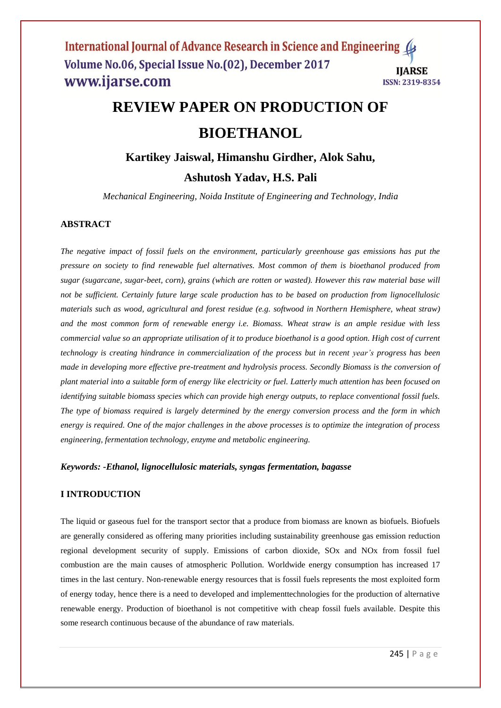# **REVIEW PAPER ON PRODUCTION OF BIOETHANOL**

# **Kartikey Jaiswal, Himanshu Girdher, Alok Sahu,**

# **Ashutosh Yadav, H.S. Pali**

*Mechanical Engineering, Noida Institute of Engineering and Technology, India*

# **ABSTRACT**

*The negative impact of fossil fuels on the environment, particularly greenhouse gas emissions has put the pressure on society to find renewable fuel alternatives. Most common of them is bioethanol produced from sugar (sugarcane, sugar-beet, corn), grains (which are rotten or wasted). However this raw material base will not be sufficient. Certainly future large scale production has to be based on production from lignocellulosic materials such as wood, agricultural and forest residue (e.g. softwood in Northern Hemisphere, wheat straw) and the most common form of renewable energy i.e. Biomass. Wheat straw is an ample residue with less commercial value so an appropriate utilisation of it to produce bioethanol is a good option. High cost of current technology is creating hindrance in commercialization of the process but in recent year's progress has been made in developing more effective pre-treatment and hydrolysis process. Secondly Biomass is the conversion of plant material into a suitable form of energy like electricity or fuel. Latterly much attention has been focused on identifying suitable biomass species which can provide high energy outputs, to replace conventional fossil fuels. The type of biomass required is largely determined by the energy conversion process and the form in which energy is required. One of the major challenges in the above processes is to optimize the integration of process engineering, fermentation technology, enzyme and metabolic engineering.*

#### *Keywords: -Ethanol, lignocellulosic materials, syngas fermentation, bagasse*

#### **I INTRODUCTION**

The liquid or gaseous fuel for the transport sector that a produce from biomass are known as biofuels. Biofuels are generally considered as offering many priorities including sustainability greenhouse gas emission reduction regional development security of supply. Emissions of carbon dioxide, SOx and NOx from fossil fuel combustion are the main causes of atmospheric Pollution. Worldwide energy consumption has increased 17 times in the last century. Non-renewable energy resources that is fossil fuels represents the most exploited form of energy today, hence there is a need to developed and implementtechnologies for the production of alternative renewable energy. Production of bioethanol is not competitive with cheap fossil fuels available. Despite this some research continuous because of the abundance of raw materials.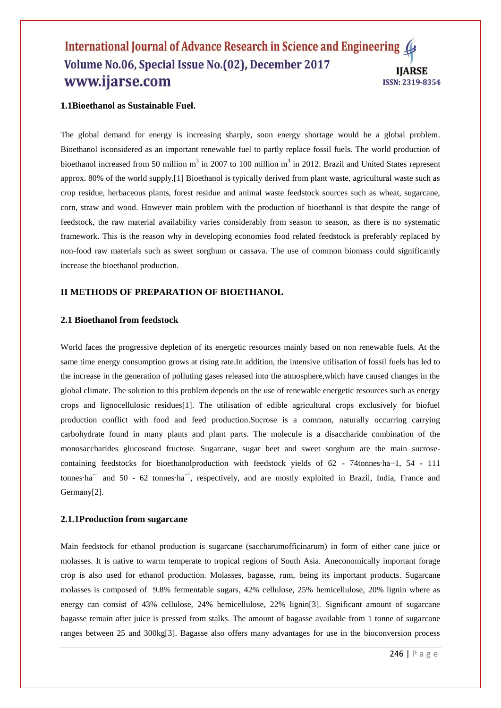# **1.1Bioethanol as Sustainable Fuel***.*

The global demand for energy is increasing sharply, soon energy shortage would be a global problem. Bioethanol isconsidered as an important renewable fuel to partly replace fossil fuels. The world production of bioethanol increased from 50 million  $m^3$  in 2007 to 100 million  $m^3$  in 2012. Brazil and United States represent approx. 80% of the world supply.[1] Bioethanol is typically derived from plant waste, agricultural waste such as crop residue, herbaceous plants, forest residue and animal waste feedstock sources such as wheat, sugarcane, corn, straw and wood. However main problem with the production of bioethanol is that despite the range of feedstock, the raw material availability varies considerably from season to season, as there is no systematic framework. This is the reason why in developing economies food related feedstock is preferably replaced by non-food raw materials such as sweet sorghum or cassava. The use of common biomass could significantly increase the bioethanol production.

# **II METHODS OF PREPARATION OF BIOETHANOL**

#### **2.1 Bioethanol from feedstock**

World faces the progressive depletion of its energetic resources mainly based on non renewable fuels. At the same time energy consumption grows at rising rate.In addition, the intensive utilisation of fossil fuels has led to the increase in the generation of polluting gases released into the atmosphere,which have caused changes in the global climate. The solution to this problem depends on the use of renewable energetic resources such as energy crops and lignocellulosic residues[1]. The utilisation of edible agricultural crops exclusively for biofuel production conflict with food and feed production.Sucrose is a common, naturally occurring carrying carbohydrate found in many plants and plant parts. The molecule is a disaccharide combination of the monosaccharides glucoseand fructose. Sugarcane, sugar beet and sweet sorghum are the main sucrosecontaining feedstocks for bioethanolproduction with feedstock yields of 62 - 74tonnes∙ha−1, 54 - 111 tonnes⋅ha<sup>-1</sup> and 50 - 62 tonnes⋅ha<sup>-1</sup>, respectively, and are mostly exploited in Brazil, India, France and Germany[2].

#### **2.1.1Production from sugarcane**

Main feedstock for ethanol production is sugarcane (saccharumofficinarum) in form of either cane juice or molasses. It is native to warm temperate to tropical regions of South Asia. Aneconomically important forage crop is also used for ethanol production. Molasses, bagasse, rum, being its important products. Sugarcane molasses is composed of 9.8% fermentable sugars, 42% cellulose, 25% hemicellulose, 20% lignin where as energy can consist of 43% cellulose, 24% hemicellulose, 22% lignin[3]. Significant amount of sugarcane bagasse remain after juice is pressed from stalks. The amount of bagasse available from 1 tonne of sugarcane ranges between 25 and 300kg[3]. Bagasse also offers many advantages for use in the bioconversion process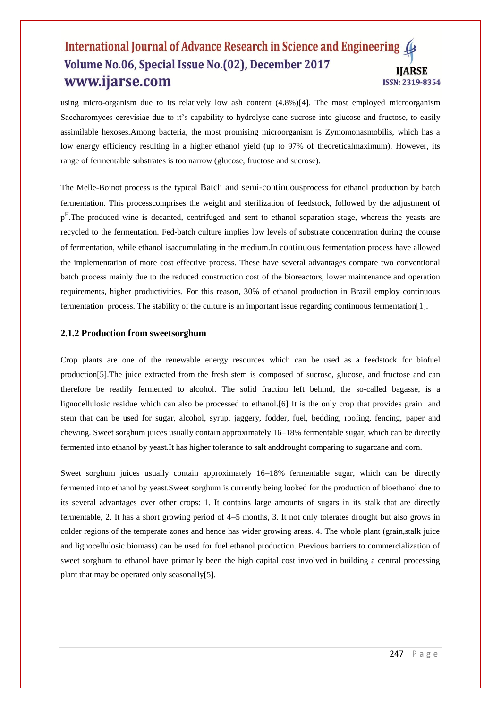using micro-organism due to its relatively low ash content (4.8%)[4]. The most employed microorganism Saccharomyces cerevisiae due to it's capability to hydrolyse cane sucrose into glucose and fructose, to easily assimilable hexoses.Among bacteria, the most promising microorganism is Zymomonasmobilis, which has a low energy efficiency resulting in a higher ethanol yield (up to 97% of theoreticalmaximum). However, its range of fermentable substrates is too narrow (glucose, fructose and sucrose).

The Melle-Boinot process is the typical Batch and semi-continuousprocess for ethanol production by batch fermentation. This processcomprises the weight and sterilization of feedstock, followed by the adjustment of p<sup>H</sup>.The produced wine is decanted, centrifuged and sent to ethanol separation stage, whereas the yeasts are recycled to the fermentation. Fed-batch culture implies low levels of substrate concentration during the course of fermentation, while ethanol isaccumulating in the medium.In continuous fermentation process have allowed the implementation of more cost effective process. These have several advantages compare two conventional batch process mainly due to the reduced construction cost of the bioreactors, lower maintenance and operation requirements, higher productivities. For this reason, 30% of ethanol production in Brazil employ continuous fermentation process. The stability of the culture is an important issue regarding continuous fermentation[1].

#### **2.1.2 Production from sweetsorghum**

Crop plants are one of the renewable energy resources which can be used as a feedstock for biofuel production[5].The juice extracted from the fresh stem is composed of sucrose, glucose, and fructose and can therefore be readily fermented to alcohol. The solid fraction left behind, the so-called bagasse, is a lignocellulosic residue which can also be processed to ethanol.[6] It is the only crop that provides grain and stem that can be used for sugar, alcohol, syrup, jaggery, fodder, fuel, bedding, roofing, fencing, paper and chewing. Sweet sorghum juices usually contain approximately 16–18% fermentable sugar, which can be directly fermented into ethanol by yeast.It has higher tolerance to salt anddrought comparing to sugarcane and corn.

Sweet sorghum juices usually contain approximately 16–18% fermentable sugar, which can be directly fermented into ethanol by yeast.Sweet sorghum is currently being looked for the production of bioethanol due to its several advantages over other crops: 1. It contains large amounts of sugars in its stalk that are directly fermentable, 2. It has a short growing period of 4–5 months, 3. It not only tolerates drought but also grows in colder regions of the temperate zones and hence has wider growing areas. 4. The whole plant (grain,stalk juice and lignocellulosic biomass) can be used for fuel ethanol production. Previous barriers to commercialization of sweet sorghum to ethanol have primarily been the high capital cost involved in building a central processing plant that may be operated only seasonally[5].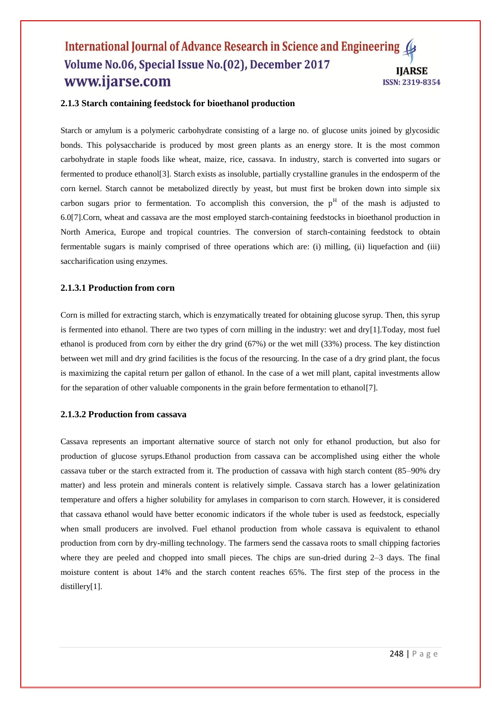#### **2.1.3 Starch containing feedstock for bioethanol production**

Starch or amylum is a polymeric carbohydrate consisting of a large no. of glucose units joined by glycosidic bonds. This polysaccharide is produced by most green plants as an energy store. It is the most common carbohydrate in staple foods like wheat, maize, rice, cassava. In industry, starch is converted into sugars or fermented to produce ethanol[3]. Starch exists as insoluble, partially crystalline granules in the endosperm of the corn kernel. Starch cannot be metabolized directly by yeast, but must first be broken down into simple six carbon sugars prior to fermentation. To accomplish this conversion, the  $p<sup>H</sup>$  of the mash is adjusted to 6.0[7].Corn, wheat and cassava are the most employed starch-containing feedstocks in bioethanol production in North America, Europe and tropical countries. The conversion of starch-containing feedstock to obtain fermentable sugars is mainly comprised of three operations which are: (i) milling, (ii) liquefaction and (iii) saccharification using enzymes.

#### **2.1.3.1 Production from corn**

Corn is milled for extracting starch, which is enzymatically treated for obtaining glucose syrup. Then, this syrup is fermented into ethanol. There are two types of corn milling in the industry: wet and dry[1].Today, most fuel ethanol is produced from corn by either the dry grind (67%) or the wet mill (33%) process. The key distinction between wet mill and dry grind facilities is the focus of the resourcing. In the case of a dry grind plant, the focus is maximizing the capital return per gallon of ethanol. In the case of a wet mill plant, capital investments allow for the separation of other valuable components in the grain before fermentation to ethanol [7].

#### **2.1.3.2 Production from cassava**

Cassava represents an important alternative source of starch not only for ethanol production, but also for production of glucose syrups.Ethanol production from cassava can be accomplished using either the whole cassava tuber or the starch extracted from it. The production of cassava with high starch content (85–90% dry matter) and less protein and minerals content is relatively simple. Cassava starch has a lower gelatinization temperature and offers a higher solubility for amylases in comparison to corn starch. However, it is considered that cassava ethanol would have better economic indicators if the whole tuber is used as feedstock, especially when small producers are involved. Fuel ethanol production from whole cassava is equivalent to ethanol production from corn by dry-milling technology. The farmers send the cassava roots to small chipping factories where they are peeled and chopped into small pieces. The chips are sun-dried during 2–3 days. The final moisture content is about 14% and the starch content reaches 65%. The first step of the process in the distillery[1].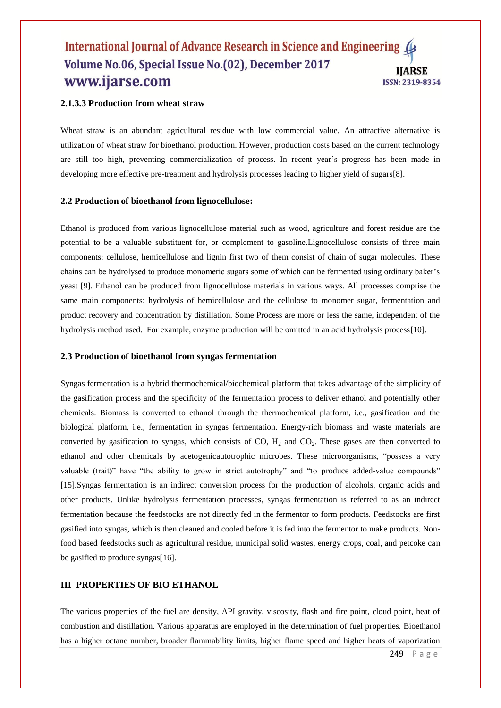# **2.1.3.3 Production from wheat straw**

Wheat straw is an abundant agricultural residue with low commercial value. An attractive alternative is utilization of wheat straw for bioethanol production. However, production costs based on the current technology are still too high, preventing commercialization of process. In recent year's progress has been made in developing more effective pre-treatment and hydrolysis processes leading to higher yield of sugars[8].

#### **2.2 Production of bioethanol from lignocellulose:**

Ethanol is produced from various lignocellulose material such as wood, agriculture and forest residue are the potential to be a valuable substituent for, or complement to gasoline.Lignocellulose consists of three main components: cellulose, hemicellulose and lignin first two of them consist of chain of sugar molecules. These chains can be hydrolysed to produce monomeric sugars some of which can be fermented using ordinary baker's yeast [9]. Ethanol can be produced from lignocellulose materials in various ways. All processes comprise the same main components: hydrolysis of hemicellulose and the cellulose to monomer sugar, fermentation and product recovery and concentration by distillation. Some Process are more or less the same, independent of the hydrolysis method used. For example, enzyme production will be omitted in an acid hydrolysis process[10].

#### **2.3 Production of bioethanol from syngas fermentation**

Syngas fermentation is a hybrid thermochemical/biochemical platform that takes advantage of the simplicity of the gasification process and the specificity of the fermentation process to deliver ethanol and potentially other chemicals. Biomass is converted to ethanol through the thermochemical platform, i.e., gasification and the biological platform, i.e., fermentation in syngas fermentation. Energy-rich biomass and waste materials are converted by gasification to syngas, which consists of CO,  $H_2$  and CO<sub>2</sub>. These gases are then converted to ethanol and other chemicals by acetogenicautotrophic microbes. These microorganisms, "possess a very valuable (trait)" have "the ability to grow in strict autotrophy" and "to produce added-value compounds" [15].Syngas fermentation is an indirect conversion process for the production of alcohols, organic acids and other products. Unlike hydrolysis fermentation processes, syngas fermentation is referred to as an indirect fermentation because the feedstocks are not directly fed in the fermentor to form products. Feedstocks are first gasified into syngas, which is then cleaned and cooled before it is fed into the fermentor to make products. Nonfood based feedstocks such as agricultural residue, municipal solid wastes, energy crops, coal, and petcoke can be gasified to produce syngas[16].

### **III PROPERTIES OF BIO ETHANOL**

The various properties of the fuel are density, API gravity, viscosity, flash and fire point, cloud point, heat of combustion and distillation. Various apparatus are employed in the determination of fuel properties. Bioethanol has a higher octane number, broader flammability limits, higher flame speed and higher heats of vaporization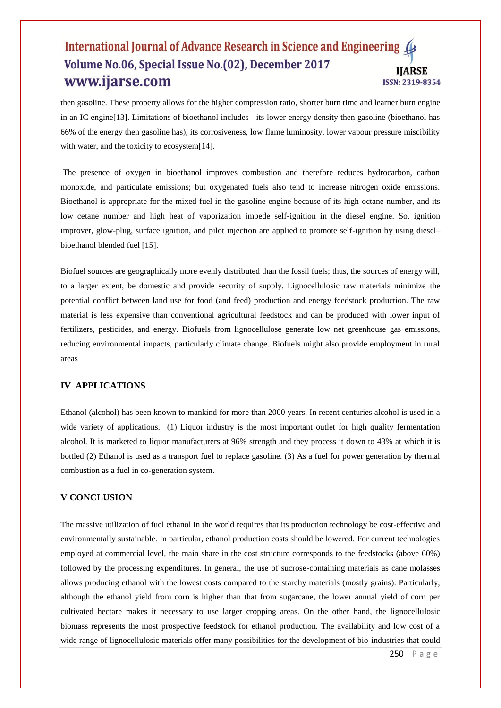then gasoline. These property allows for the higher compression ratio, shorter burn time and learner burn engine in an IC engine[13]. Limitations of bioethanol includes its lower energy density then gasoline (bioethanol has 66% of the energy then gasoline has), its corrosiveness, low flame luminosity, lower vapour pressure miscibility with water, and the toxicity to ecosystem[14].

The presence of oxygen in bioethanol improves combustion and therefore reduces hydrocarbon, carbon monoxide, and particulate emissions; but oxygenated fuels also tend to increase nitrogen oxide emissions. Bioethanol is appropriate for the mixed fuel in the gasoline engine because of its high octane number, and its low cetane number and high heat of vaporization impede self-ignition in the diesel engine. So, ignition improver, glow-plug, surface ignition, and pilot injection are applied to promote self-ignition by using diesel– bioethanol blended fuel [15].

Biofuel sources are geographically more evenly distributed than the fossil fuels; thus, the sources of energy will, to a larger extent, be domestic and provide security of supply. Lignocellulosic raw materials minimize the potential conflict between land use for food (and feed) production and energy feedstock production. The raw material is less expensive than conventional agricultural feedstock and can be produced with lower input of fertilizers, pesticides, and energy. Biofuels from lignocellulose generate low net greenhouse gas emissions, reducing environmental impacts, particularly climate change. Biofuels might also provide employment in rural areas

# **IV APPLICATIONS**

Ethanol (alcohol) has been known to mankind for more than 2000 years. In recent centuries alcohol is used in a wide variety of applications. (1) Liquor industry is the most important outlet for high quality fermentation alcohol. It is marketed to liquor manufacturers at 96% strength and they process it down to 43% at which it is bottled (2) Ethanol is used as a transport fuel to replace gasoline. (3) As a fuel for power generation by thermal combustion as a fuel in co-generation system.

#### **V CONCLUSION**

The massive utilization of fuel ethanol in the world requires that its production technology be cost-effective and environmentally sustainable. In particular, ethanol production costs should be lowered. For current technologies employed at commercial level, the main share in the cost structure corresponds to the feedstocks (above 60%) followed by the processing expenditures. In general, the use of sucrose-containing materials as cane molasses allows producing ethanol with the lowest costs compared to the starchy materials (mostly grains). Particularly, although the ethanol yield from corn is higher than that from sugarcane, the lower annual yield of corn per cultivated hectare makes it necessary to use larger cropping areas. On the other hand, the lignocellulosic biomass represents the most prospective feedstock for ethanol production. The availability and low cost of a wide range of lignocellulosic materials offer many possibilities for the development of bio-industries that could